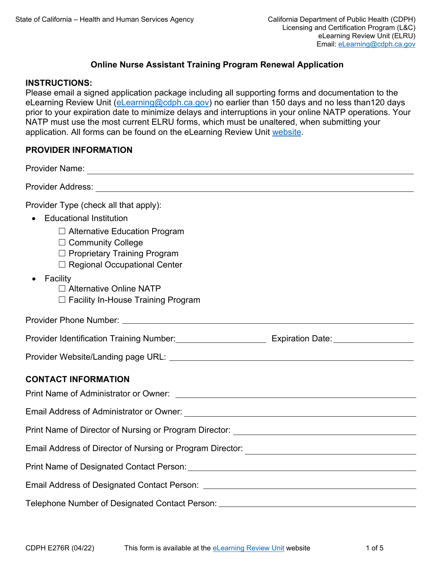# **Online Nurse Assistant Training Program Renewal Application**

#### **INSTRUCTIONS:**

Please email a signed application package including all supporting forms and documentation to the eLearning Review Unit [\(eLearning@cdph.ca.gov\)](mailto:eLearning@cdph.ca.gov) no earlier than 150 days and no less than120 days prior to your expiration date to minimize delays and interruptions in your online NATP operations. Your NATP must use the most current ELRU forms, which must be unaltered, when submitting your application. All forms can be found on the eLearning Review Unit [website.](https://www.cdph.ca.gov/Programs/CHCQ/LCP/Pages/ELRU.aspx)

### **PROVIDER INFORMATION**

| Provider Name:<br><u> 1989 - Johann Stein, marwolaethau a bhann an t-Amhain an t-Amhain an t-Amhain an t-Amhain an t-Amhain an t-A</u>         |  |
|------------------------------------------------------------------------------------------------------------------------------------------------|--|
|                                                                                                                                                |  |
| Provider Type (check all that apply):<br>• Educational Institution                                                                             |  |
| $\Box$ Alternative Education Program<br>$\Box$ Community College<br>$\Box$ Proprietary Training Program<br>$\Box$ Regional Occupational Center |  |
| $\bullet$ Facility<br>□ Alternative Online NATP<br>$\Box$ Facility In-House Training Program                                                   |  |
|                                                                                                                                                |  |
| Provider Identification Training Number:_________________________ Expiration Date:_________________                                            |  |
|                                                                                                                                                |  |
| <b>CONTACT INFORMATION</b>                                                                                                                     |  |
|                                                                                                                                                |  |
|                                                                                                                                                |  |
| Print Name of Director of Nursing or Program Director: __________________________                                                              |  |
| Email Address of Director of Nursing or Program Director: ______________________                                                               |  |
|                                                                                                                                                |  |
|                                                                                                                                                |  |
| Telephone Number of Designated Contact Person: _________________________________                                                               |  |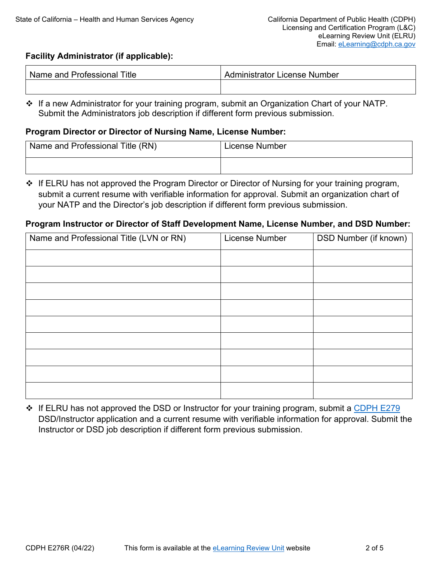# **Facility Administrator (if applicable):**

| l Name and Professional Title I | Administrator License Number |
|---------------------------------|------------------------------|
|                                 |                              |

❖ If a new Administrator for your training program, submit an Organization Chart of your NATP. Submit the Administrators job description if different form previous submission.

# **Program Director or Director of Nursing Name, License Number:**

| Name and Professional Title (RN) | License Number |
|----------------------------------|----------------|
|                                  |                |

❖ If ELRU has not approved the Program Director or Director of Nursing for your training program, submit a current resume with verifiable information for approval. Submit an organization chart of your NATP and the Director's job description if different form previous submission.

### **Program Instructor or Director of Staff Development Name, License Number, and DSD Number:**

| Name and Professional Title (LVN or RN) | License Number | DSD Number (if known) |
|-----------------------------------------|----------------|-----------------------|
|                                         |                |                       |
|                                         |                |                       |
|                                         |                |                       |
|                                         |                |                       |
|                                         |                |                       |
|                                         |                |                       |
|                                         |                |                       |
|                                         |                |                       |
|                                         |                |                       |

 **If ELRU has not approved the DSD or Instructor for your training program, submit a [CDPH E279](https://www.cdph.ca.gov/CDPH%20Document%20Library/ControlledForms/cdphe279.pdf)** DSD/Instructor application and a current resume with verifiable information for approval. Submit the Instructor or DSD job description if different form previous submission.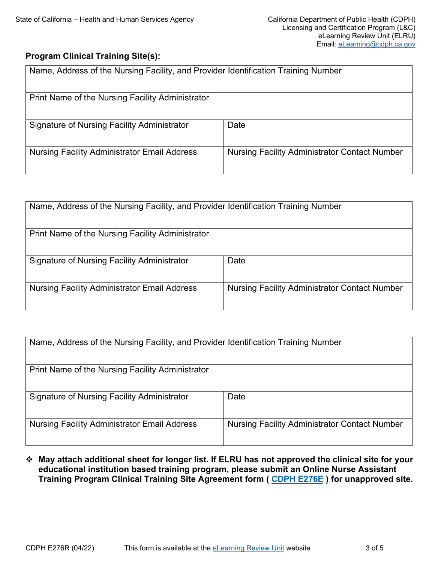# **Program Clinical Training Site(s):**

| Name, Address of the Nursing Facility, and Provider Identification Training Number |                                                      |
|------------------------------------------------------------------------------------|------------------------------------------------------|
| Print Name of the Nursing Facility Administrator                                   |                                                      |
| <b>Signature of Nursing Facility Administrator</b>                                 | Date                                                 |
| <b>Nursing Facility Administrator Email Address</b>                                | <b>Nursing Facility Administrator Contact Number</b> |

| Name, Address of the Nursing Facility, and Provider Identification Training Number |                                                      |  |
|------------------------------------------------------------------------------------|------------------------------------------------------|--|
| Print Name of the Nursing Facility Administrator                                   |                                                      |  |
| Signature of Nursing Facility Administrator                                        | Date                                                 |  |
| <b>Nursing Facility Administrator Email Address</b>                                | <b>Nursing Facility Administrator Contact Number</b> |  |

| Name, Address of the Nursing Facility, and Provider Identification Training Number |                                                      |  |
|------------------------------------------------------------------------------------|------------------------------------------------------|--|
| Print Name of the Nursing Facility Administrator                                   |                                                      |  |
| Signature of Nursing Facility Administrator                                        | Date                                                 |  |
| <b>Nursing Facility Administrator Email Address</b>                                | <b>Nursing Facility Administrator Contact Number</b> |  |

 **May attach additional sheet for longer list. If ELRU has not approved the clinical site for your educational institution based training program, please submit an Online Nurse Assistant Training Program Clinical Training Site Agreement form ( [CDPH E276E](https://www.cdph.ca.gov/CDPH%20Document%20Library/ControlledForms/cdphe276e.pdf) ) for unapproved site.**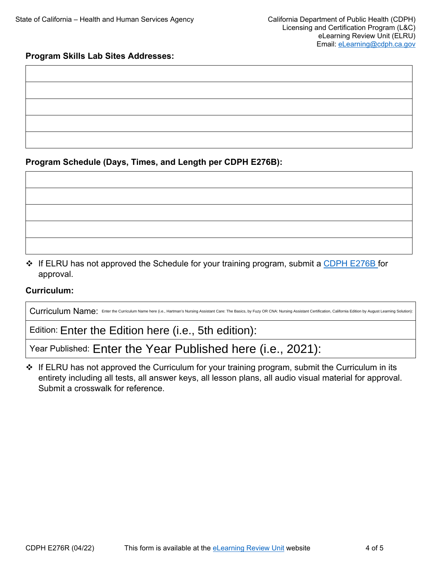# **Program Skills Lab Sites Addresses:**

**Program Schedule (Days, Times, and Length per CDPH E276B):** 

 If ELRU has not approved the Schedule for your training program, submit a [CDPH E276B](https://www.cdph.ca.gov/CDPH%20Document%20Library/ControlledForms/cdphe276b.pdf) for approval.

# **Curriculum:**

| Curriculum Name: Enter the Curriculum Name here (i.e., Hartman's Nursing Assistant Care: The Basics, by Fuzy OR CNA: Nursing Assistant Certification, California Edition by August Learning Solution): |  |
|--------------------------------------------------------------------------------------------------------------------------------------------------------------------------------------------------------|--|
| Edition: Enter the Edition here (i.e., 5th edition):                                                                                                                                                   |  |
| Year Published: Enter the Year Published here (i.e., 2021):                                                                                                                                            |  |

❖ If ELRU has not approved the Curriculum for your training program, submit the Curriculum in its entirety including all tests, all answer keys, all lesson plans, all audio visual material for approval. Submit a crosswalk for reference.